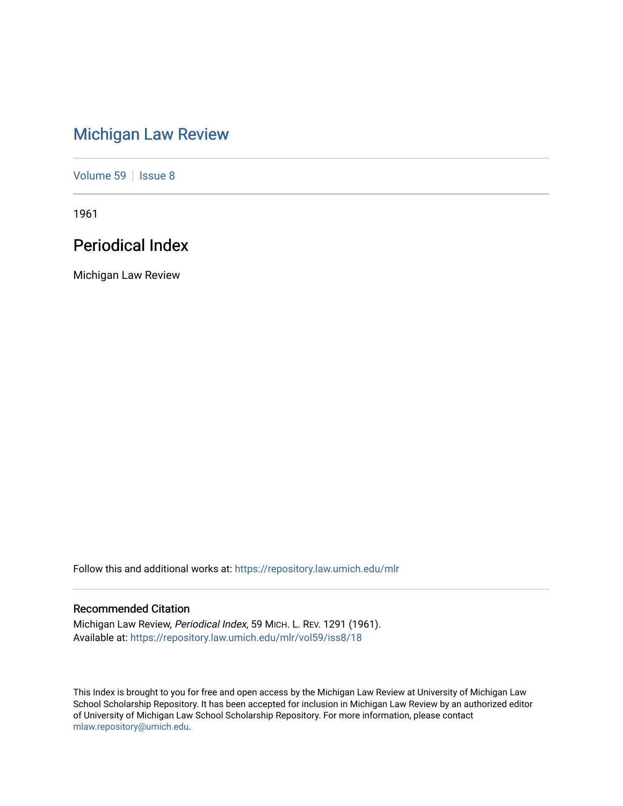# [Michigan Law Review](https://repository.law.umich.edu/mlr)

[Volume 59](https://repository.law.umich.edu/mlr/vol59) | [Issue 8](https://repository.law.umich.edu/mlr/vol59/iss8)

1961

# Periodical Index

Michigan Law Review

Follow this and additional works at: [https://repository.law.umich.edu/mlr](https://repository.law.umich.edu/mlr?utm_source=repository.law.umich.edu%2Fmlr%2Fvol59%2Fiss8%2F18&utm_medium=PDF&utm_campaign=PDFCoverPages) 

## Recommended Citation

Michigan Law Review, Periodical Index, 59 MICH. L. REV. 1291 (1961). Available at: [https://repository.law.umich.edu/mlr/vol59/iss8/18](https://repository.law.umich.edu/mlr/vol59/iss8/18?utm_source=repository.law.umich.edu%2Fmlr%2Fvol59%2Fiss8%2F18&utm_medium=PDF&utm_campaign=PDFCoverPages) 

This Index is brought to you for free and open access by the Michigan Law Review at University of Michigan Law School Scholarship Repository. It has been accepted for inclusion in Michigan Law Review by an authorized editor of University of Michigan Law School Scholarship Repository. For more information, please contact [mlaw.repository@umich.edu.](mailto:mlaw.repository@umich.edu)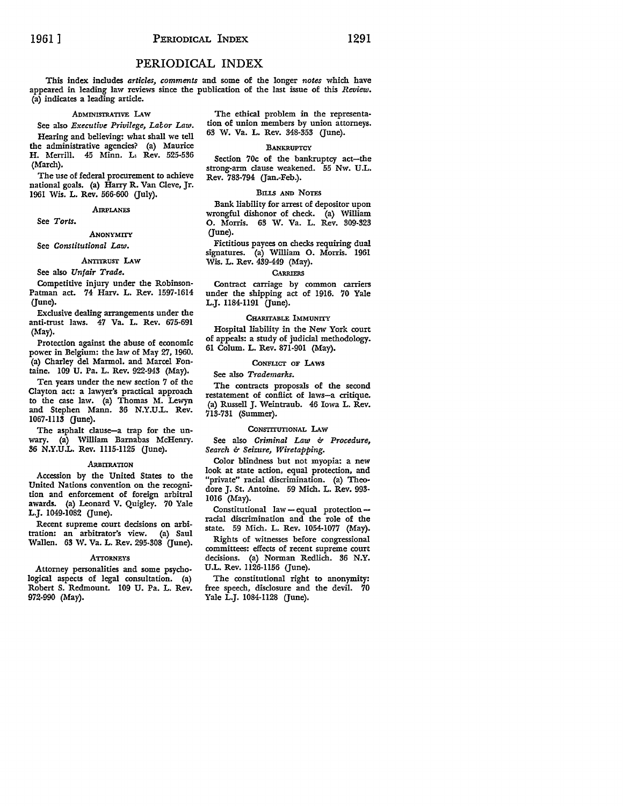## PERIODICAL INDEX

This index includes *articles, comments* and some of the longer *notes* which have appeared in leading law reviews since the publication of the last issue of this *Review.*  (a) indicates a leading article.

### ADMINISTRATIVE LAW

See also *Executive Privilege*, Labor Law.

Hearing and believing: what shall we tell the administrative agencies? (a) Maurice H. Merrill. 45 Minn. Li Rev. 525-536 (March).

The use of federal procurement to achieve national goals. (a) Harry R. Van Cleve, Jr. 1961 Wis. L. Rev. 566-600 Guly).

## **AIRPLANES**

See *Torts.* 

## ANONYMITY

## See *Constitutional Law.*

#### ANTITRUST LAW

See also *Unfair Trade.* 

Competitive injury under the Robinson-Patman act. 74 Harv. L. Rev. 1597-1614 (June).

Exclusive dealing arrangements under the anti-trust laws. 47 Va. L. Rev. 675-691 (May).

Protection against the abuse of economic power in Belgium: the law of May 27, 1960. (a) Charley del Marmol. and Marcel Fontaine. 109 U. Pa. L. Rev. 922-943 (May).

Ten years under the new section 7 of the Clayton act: a lawyer's practical approach to the case law. (a) Thomas M. Lewyn and Stephen Mann. 36 N.Y.U.L. Rev. 1067-lll3 Gune).

The asphalt clause-a trap for the unwary. (a) William Barnabas McHenry. 36 N.Y.U.L. Rev. Ill5-Il25 Gune).

#### ARBITRATION

Accession by the United States to the United Nations convention on the recognition and enforcement of foreign arbitral awards. (a) Leonard V. Quigley. 70 Yale L.J. 1049-1082 Gune).

Recent supreme court decisions on arbitration: an arbitrator's view. (a) Saul Wallen. 63 W. Va. L. Rev. 295-308 (June).

#### **ATTORNEYS**

Attorney personalities and some psychological aspects of legal consultation. (a) Robert S. Redmount. 109 U. Pa. L. Rev. 972-990 (May).

The ethical problem in the representation of union members by union attorneys. 63 W. Va. L. Rev. 348-353 (June).

#### **BANKRUPTCY**

Section 70c of the bankruptcy act-the strong-arm clause weakened. 55 Nw. U.L. Rev. 783-794 (Jan.-Feb.).

#### BILLS AND NOTES

Bank liability for arrest of depositor upon wrongful dishonor of check. (a) William O. Morris. 63 W. Va. L. Rev. 309-323 (June).

Fictitious payees on checks requiring dual signatures. (a) William 0. Morris. 1961 Wis. L. Rev. 439-449 (May).

#### **CARRIERS**

Contract carriage by common carriers under the shipping act of 1916. 70 Yale L.J. 1184-1191 Gune).

## CHARITABLE IMMUNITY

Hospital liability in the New York court of appeals: a study of judicial methodology. 61 Colum. L. Rev. 871-901 (May).

## CoNFLicr OF LAws

See also *Trademarks.* 

The contracts proposals of the second restatement of conflict of laws-a critique. (a) Russell J. Weintraub. 46 Iowa L. Rev. 713-731 (Summer).

#### CONSTITUTIONAL LAW

See also *Criminal Law & Procedure*, *Search* 6- *Seizure, Wiretapping.* 

Color blindness but not myopia: a new look at state action, equal protection, and "private" racial discrimination. (a) Theodore J. St. Antoine. 59 Mich. L. Rev. 993- 1016 (May).

Constitutional law - equal protection -racial discrimination and the role of the state. 59 Mich. L. Rev. 1054-1077 (May).

Rights of witnesses before congressional committees: effects of recent supreme court decisions. (a) Norman Redlich. 36 N.Y. U.L. Rev. 1126-1156 (June).

The constitutional right to anonymity: free speech, disclosure and the devil. 70 Yale L.J. 1084-1128 (June).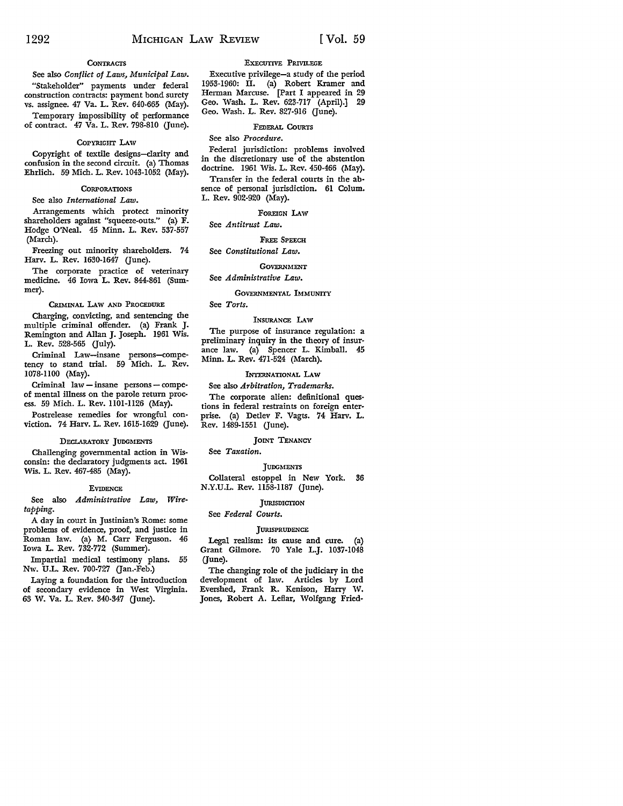## **CONTRACTS**

See also *Conflict of Laws, Municipal Law.*  "Stakeholder" payments under federal construction contracts: payment bond surety vs. assignee. 47 Va. L. Rev. 640-665 (May). Temporary impossibility of performance of contract. 47 Va. L. Rev. 798-810 (June).

#### COPYRIGHT LAW

Copyright of textile designs-clarity and confusion in the second circuit. (a) Thomas Ehrlich. 59 Mich. L. Rev. 1043-1052 (May).

## **CORPORATIONS**

See also *International Law.* 

Arrangements which protect minority shareholders against "squeeze-outs." (a) F. Hodge O'Neal. 45 Minn. L. Rev. 537-557 (March).

Freezing out minority shareholders. 74 Harv. L. Rev. 1630-1647 (June).

The corporate practice of veterinary medicine. 46 Iowa L. Rev. 844-861 (Summer).

CRIMINAL LAW AND PROCEDURE

Charging, convicting, and sentencing the multiple criminal offender. (a) Frank J. Remington and Allan J. Joseph. 1961 Wis. L. Rev. 528-565 (July).

Criminal Law-insane persons-competency to stand trial. 59 Mich. L. Rev. 1078-1100 (May).

Criminal law - insane persons - compeof mental illness on the parole return process. 59 Mich. L. Rev. 1101-1126 (May).

Postrelease remedies for wrongful conviction. 74 Harv. L. Rev. 1615-1629 (June).

#### DECLARATORY JUDGMENTS

Challenging governmental action in Wisconsin: the declaratory judgments act. 1961 Wis. L. Rev. 467-485 (May).

#### **EVIDENCE**

See also *Administrative Law, Wiretapping.* 

A day in court in Justinian's Rome: some problems of evidence, proof, and justice in Roman law. (a) M. Carr Ferguson. 46 Iowa L. Rev. 732-772 (Summer).

Impartial medical testimony plans. 55 Nw. U.L. Rev. 700-727 (Jan.-Feb.)

Laying a foundation for the introduction of secondary evidence in West Virginia. 63 W. Va. L. Rev. 340-347 (June).

#### EXECUTIVE PRIVILEGE

Executive privilege-a study of the period 1953-1960: II. (a) Robert Kramer and Herman Marcuse. [Part I appeared in 29 Geo. Wash. L. Rev. 623-717 (April).] 29 Geo. Wash. L. Rev. 827-916 (June).

#### FEDERAL CoURTS

See also *Procedure.* 

Federal jurisdiction: problems involved in the discretionary use of the abstention doctrine. 1961 Wis. L. Rev. 450-466 (May).

Transfer in the federal courts in the absence of personal jurisdiction. 61 Colum. L. Rev. 902-920 (May).

## FOREIGN LAW

#### See *Antitrust Law.*

FREE SPEECH

## See *Constitutional Law.*

## **GOVERNMENT**

### See *Administrative Law.*

## GOVERNMENTAL IMMUNITY

See *Torts.* 

## INSURANCE LAW

The purpose of insurance regulation: a preliminary inquiry in the theory of insurance law. (a) Spencer L. Kimball. 45 Minn. L. Rev. 471-524 (March).

## INTERNATIONAL LAW

See also *Arbitration, Trademarks.*  The corporate alien: definitional questions in federal restraints on foreign enterprise. (a) Detlev F. Vagts. 74 Harv. L. Rev. 1489-1551 (June).

## JOINT TENANCY

## See *Taxation.*

**JUDGMENTS** 

Collateral estoppel in New York. 36 N.Y.U.L. Rev. 1158-1187 (June).

## **JURISDICTION**

See *Federal Courts.* 

## **JURISPRUDENCE**

Legal realism: its cause and cure. (a) Grant Gilmore. 70 Yale L.J. 1037-1048 (June).

The changing role of the judiciary in the development of law. Articles by Lord Evershed, Frank R. Kenison, Harry W. Jones, Robert A. Leflar, Wolfgang Fried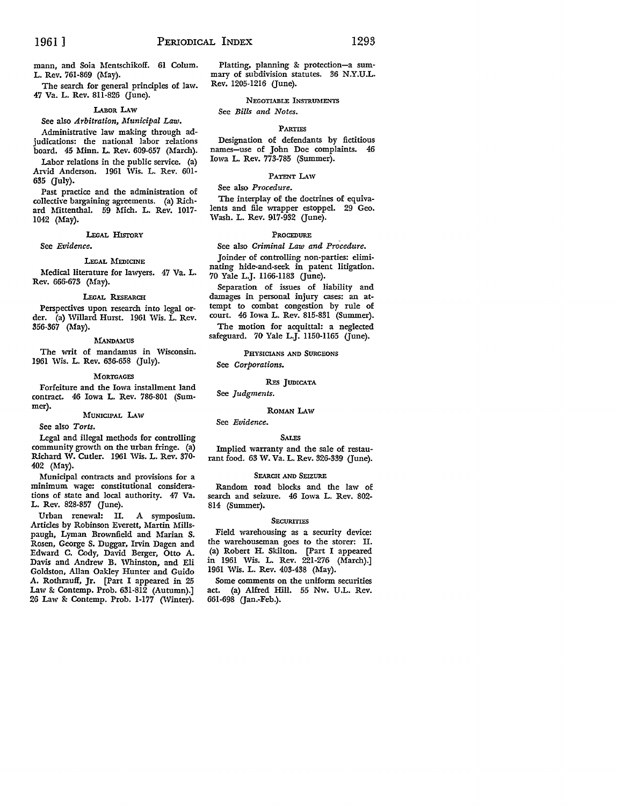mann, and Soia Mentschikoff. 61 Colum. L. Rev. 761-869 (May).

The search for general principles of law. 47 Va. L. Rev. 811-826 (June).

#### LABoR I.Aw

See also *Arbitration, Municipal Law.* 

Administrative law making through adjudications: the national labor relations board. 45 Minn. L. Rev. 609-657 (March).

Labor relations in the public service. (a) Arvid Anderson. 1961 Wis. L. Rev. 601- 635 Guly).

Past practice and the administration of collective bargaining agreements. (a) Richard Mittenthal. 59 Mich. L. Rev. 1017- 1042 (May).

## LEGAL HlsroRY

See *Evidence.* 

#### LEGAL MEDICINE

Medical literature for lawyers. 47 Va. L. Rev. 666-673 (May).

#### LEGAL REsEARCH

Perspectives upon research into legal order. (a) Willard Hurst. 1961 Wis. L. Rev. 356-367 (May).

#### MANDAMUS

The writ of mandamus in Wisconsin. 1961 Wis. L. Rev. 636-658 (July).

#### **MORTGAGES**

Forfeiture and the Iowa installment land contract. 46 Iowa L. Rev. 786-801 (Summer).

#### MUNICIPAL LAW

See also *Torts.* 

Legal and illegal methods for controlling community growth on the urban fringe. (a) Richard W. Cutler. 1961 Wis. L. Rev. 370- 402 (May).

Municipal contracts and provisions for a minimum wage: constitutional considerations of state and local authority. 47 Va. L. Rev. 828-857 Gune).

Urban renewal: II. A symposium. Articles by Robinson Everett, Martin Millspaugh, Lyman Brownfield and Marian S. Rosen, George S. Duggar, Irvin Dagen and Edward C. Cody, David Berger, Otto A. Davis and Andrew B. Whinston, and Eli Goldston, Allan Oakley Hunter and Guido A. Rothrauff, Jr. [Part I appeared in 25 Law & Contemp. Prob. 631-812 (Autumn).] 26 Law & Contemp. Prob. 1-177 (Winter).

Platting, planning & protection-a summary of subdivision statutes. 36 N.Y.U.L. Rev. 1205-1216 (June).

## NEGOTIABLE INSTRUMENTS

### PARTIES

Designation of defendants by fictitious names-use of John Doe complaints. 46 Iowa L. Rev. 773-785 (Summer).

#### PATENT LAW

#### See also *Procedure.*

See *Bills and Notes.* 

The interplay of the doctrines of equivalents and file wrapper estoppel. 29 Geo. Wash. L. Rev. 917-932 (June).

#### PROCEDURE

See also *Criminal Law and Procedure*. Joinder of controlling non-parties: eliminating hide-and-seek in patent litigation.

70 Yale L.J. 1166-1183 Gune). Separation of issues of liability and damages in personal injury cases: an at-

tempt to combat congestion by rule of court. 46 Iowa L. Rev. 815-831 (Summer). The motion for acquittal: a neglected

safeguard. 70 Yale L.J. 1150-1165 (June).

PHYSICIANS AND SURGEONS

## See *Corporations.*

## REs JUDICATA

See *Judgments.* 

#### ROMAN I.Aw

## See *Evidence.*

#### **SALES**

Implied warranty and the sale of restaurant food. 63 W. Va. L. Rev. 326-339 (June).

### SEARCH AND SEIZURE

Random road blocks and the law of search and seizure. 46 Iowa L. Rev. 802- 814 (Summer).

#### **SECURITIES**

Field warehousing as a security device: the warehouseman goes to the storer: II. (a) Robert H. Skilton. [Part I appeared in 1961 Wis. L. Rev. 221-276 (March).] 1961 Wis. L. Rev. 403-438 (May).

Some comments on the uniform securities act. (a) Alfred Hill. 55 Nw. U.L. Rev. 661-698 (Jan.-Feb.).